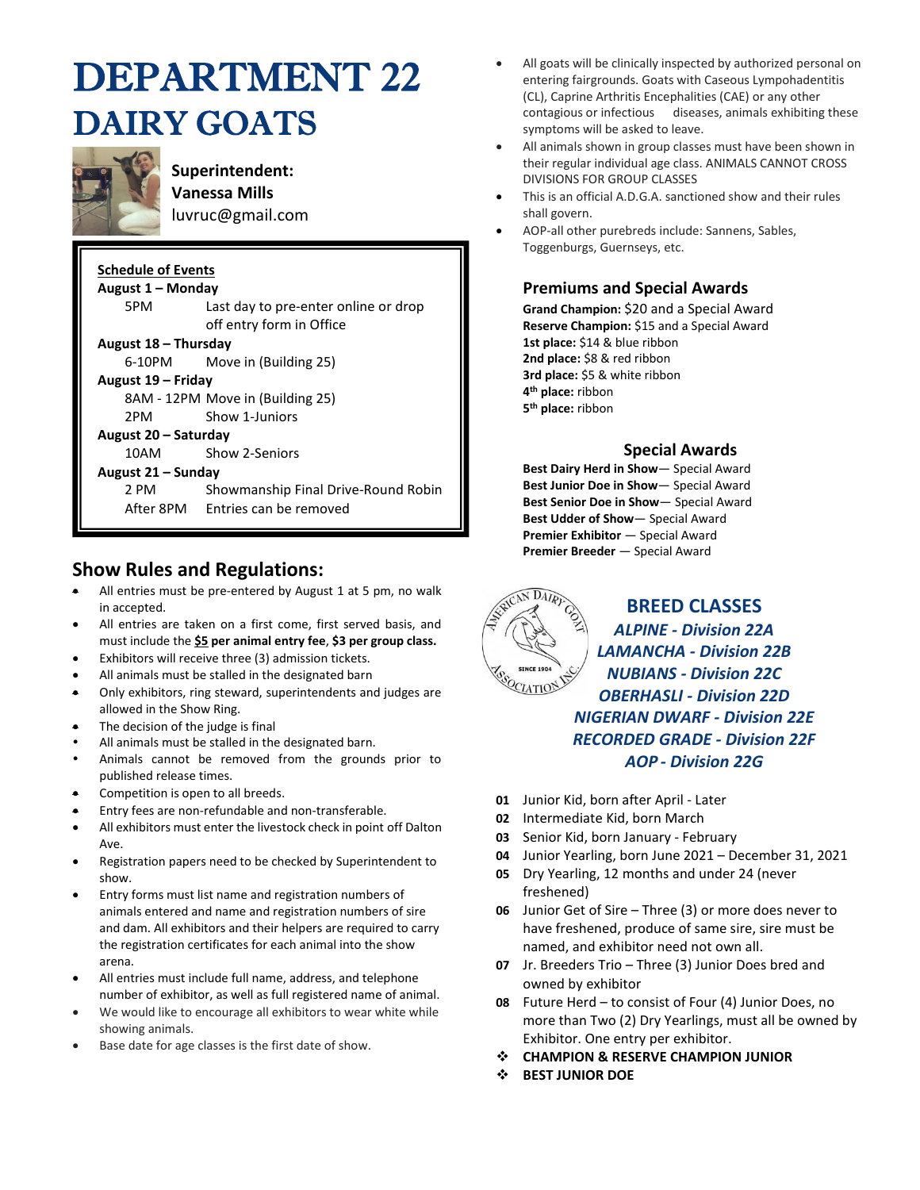## DEPARTMENT 22 DAIRY GOATS



**Superintendent: Vanessa Mills**  luvruc@gmail.com

| <b>Schedule of Events</b><br>August 1 – Monday |                                                                  |  |  |  |  |  |  |
|------------------------------------------------|------------------------------------------------------------------|--|--|--|--|--|--|
| 5PM                                            | Last day to pre-enter online or drop<br>off entry form in Office |  |  |  |  |  |  |
| August 18 - Thursday                           |                                                                  |  |  |  |  |  |  |
| 6-10PM                                         | Move in (Building 25)                                            |  |  |  |  |  |  |
| August 19 – Friday                             |                                                                  |  |  |  |  |  |  |
| 8AM - 12PM Move in (Building 25)               |                                                                  |  |  |  |  |  |  |
| 2PM.                                           | Show 1-Juniors                                                   |  |  |  |  |  |  |
| August 20 – Saturday                           |                                                                  |  |  |  |  |  |  |
|                                                | 10AM Show 2-Seniors                                              |  |  |  |  |  |  |
| August 21 - Sunday                             |                                                                  |  |  |  |  |  |  |
| 2 PM                                           | Showmanship Final Drive-Round Robin                              |  |  |  |  |  |  |
|                                                | After 8PM Entries can be removed                                 |  |  |  |  |  |  |

#### **Show Rules and Regulations:**

- All entries must be pre-entered by August 1 at 5 pm, no walk in accepted.
- All entries are taken on a first come, first served basis, and must include the **\$5 per animal entry fee**, **\$3 per group class.**
- Exhibitors will receive three (3) admission tickets.
- All animals must be stalled in the designated barn
- Only exhibitors, ring steward, superintendents and judges are allowed in the Show Ring.
- The decision of the judge is final
- All animals must be stalled in the designated barn.
- Animals cannot be removed from the grounds prior to published release times.
- Competition is open to all breeds.
- Entry fees are non-refundable and non-transferable.
- All exhibitors must enter the livestock check in point off Dalton Ave.
- Registration papers need to be checked by Superintendent to show.
- Entry forms must list name and registration numbers of animals entered and name and registration numbers of sire and dam. All exhibitors and their helpers are required to carry the registration certificates for each animal into the show arena.
- All entries must include full name, address, and telephone number of exhibitor, as well as full registered name of animal.
- We would like to encourage all exhibitors to wear white while showing animals.
- Base date for age classes is the first date of show.
- All goats will be clinically inspected by authorized personal on entering fairgrounds. Goats with Caseous Lympohadentitis (CL), Caprine Arthritis Encephalities (CAE) or any other contagious or infectious diseases, animals exhibiting these symptoms will be asked to leave.
- All animals shown in group classes must have been shown in their regular individual age class. ANIMALS CANNOT CROSS DIVISIONS FOR GROUP CLASSES
- This is an official A.D.G.A. sanctioned show and their rules shall govern.
- AOP-all other purebreds include: Sannens, Sables, Toggenburgs, Guernseys, etc.

#### **Premiums and Special Awards**

**Grand Champion:** \$20 and a Special Award **Reserve Champion:** \$15 and a Special Award **1st place:** \$14 & blue ribbon **2nd place:** \$8 & red ribbon **3rd place:** \$5 & white ribbon **4 th place:** ribbon **5 th place:** ribbon

#### **Special Awards**

**Best Dairy Herd in Show**— Special Award **Best Junior Doe in Show**— Special Award **Best Senior Doe in Show**— Special Award **Best Udder of Show**— Special Award **Premier Exhibitor** — Special Award **Premier Breeder** — Special Award



#### **BREED CLASSES** *ALPINE - Division 22A LAMANCHA - Division 22B NUBIANS - Division 22C OBERHASLI - Division 22D NIGERIAN DWARF - Division 22E RECORDED GRADE - Division 22F AOP - Division 22G*

- **01** Junior Kid, born after April Later
- **02** Intermediate Kid, born March
- **03** Senior Kid, born January February
- **04** Junior Yearling, born June 2021 December 31, 2021
- **05** Dry Yearling, 12 months and under 24 (never freshened)
- **06** Junior Get of Sire Three (3) or more does never to have freshened, produce of same sire, sire must be named, and exhibitor need not own all.
- **07** Jr. Breeders Trio Three (3) Junior Does bred and owned by exhibitor
- **08** Future Herd to consist of Four (4) Junior Does, no more than Two (2) Dry Yearlings, must all be owned by Exhibitor. One entry per exhibitor.
- ❖ **CHAMPION & RESERVE CHAMPION JUNIOR**
- ❖ **BEST JUNIOR DOE**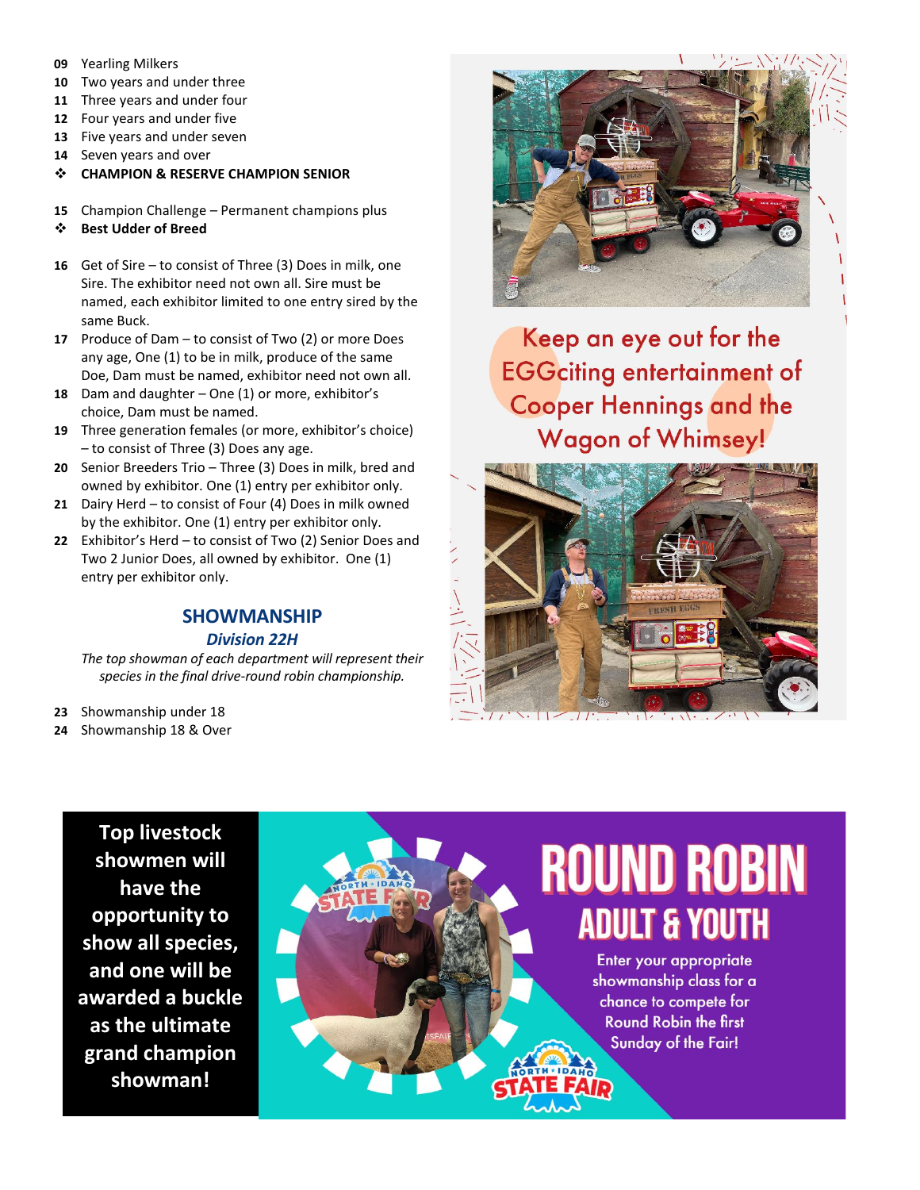- **09** Yearling Milkers
- **10** Two years and under three
- **11** Three years and under four
- **12** Four years and under five
- **13** Five years and under seven
- **14** Seven years and over
- ❖ **CHAMPION & RESERVE CHAMPION SENIOR**
- **15** Champion Challenge Permanent champions plus
- ❖ **Best Udder of Breed**
- **16** Get of Sire to consist of Three (3) Does in milk, one Sire. The exhibitor need not own all. Sire must be named, each exhibitor limited to one entry sired by the same Buck.
- **17** Produce of Dam to consist of Two (2) or more Does any age, One (1) to be in milk, produce of the same Doe, Dam must be named, exhibitor need not own all.
- **18** Dam and daughter One (1) or more, exhibitor's choice, Dam must be named.
- **19** Three generation females (or more, exhibitor's choice) – to consist of Three (3) Does any age.
- **20** Senior Breeders Trio Three (3) Does in milk, bred and owned by exhibitor. One (1) entry per exhibitor only.
- **21** Dairy Herd to consist of Four (4) Does in milk owned by the exhibitor. One (1) entry per exhibitor only.
- **22** Exhibitor's Herd to consist of Two (2) Senior Does and Two 2 Junior Does, all owned by exhibitor. One (1) entry per exhibitor only.

### **SHOWMANSHIP**

*Division 22H*

*The top showman of each department will represent their species in the final drive-round robin championship.*

**23** Showmanship under 18

**24** Showmanship 18 & Over



Keep an eye out for the **EGGciting entertainment of Cooper Hennings and the Wagon of Whimsey!** 



**Top livestock showmen will have the opportunity to show all species, and one will be awarded a buckle as the ultimate grand champion showman!**

# **ROUND ROBIN ADULT & YOUTH**

Enter your appropriate showmanship class for a chance to compete for **Round Robin the first Sunday of the Fair!**